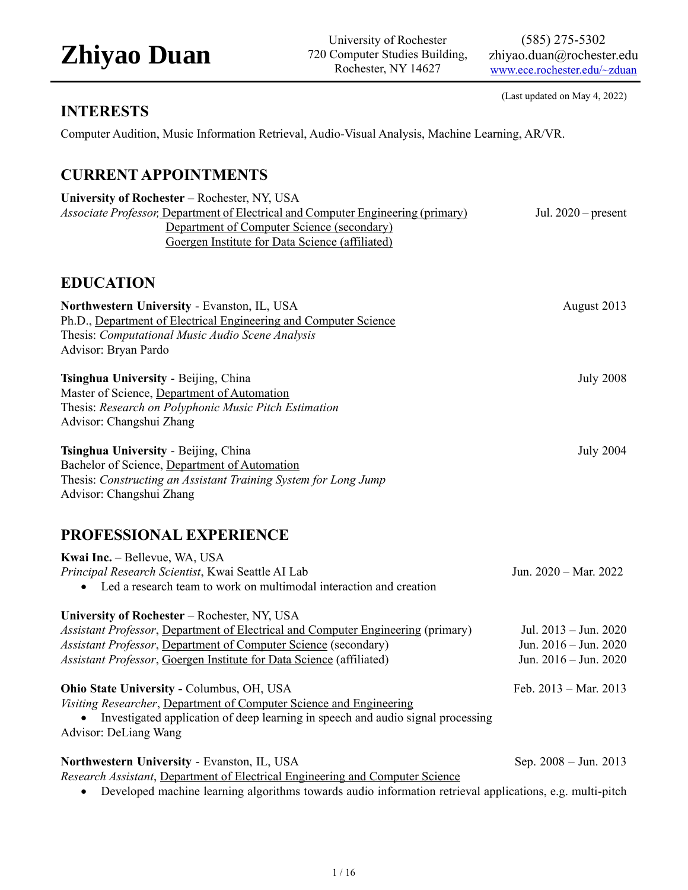University of Rochester 720 Computer Studies Building, Rochester, NY 14627

(585) 275-5302 zhiyao.duan@rochester.edu [www.ece.rochester.edu/~zduan](http://www.ece.rochester.edu/~zduan)

(Last updated on May 4, 2022)

### **INTERESTS**

Computer Audition, Music Information Retrieval, Audio-Visual Analysis, Machine Learning, AR/VR.

### **CURRENT APPOINTMENTS**

| University of Rochester – Rochester, NY, USA                                             |                       |
|------------------------------------------------------------------------------------------|-----------------------|
| <i>Associate Professor</i> ; Department of Electrical and Computer Engineering (primary) | Jul. $2020$ – present |
| Department of Computer Science (secondary)                                               |                       |
| Goergen Institute for Data Science (affiliated)                                          |                       |
|                                                                                          |                       |
|                                                                                          |                       |

### **EDUCATION**

| Northwestern University - Evanston, IL, USA<br>Ph.D., Department of Electrical Engineering and Computer Science<br>Thesis: Computational Music Audio Scene Analysis<br>Advisor: Bryan Pardo                                                                                 | August 2013                                                                 |
|-----------------------------------------------------------------------------------------------------------------------------------------------------------------------------------------------------------------------------------------------------------------------------|-----------------------------------------------------------------------------|
| Tsinghua University - Beijing, China<br>Master of Science, Department of Automation<br>Thesis: Research on Polyphonic Music Pitch Estimation<br>Advisor: Changshui Zhang                                                                                                    | <b>July 2008</b>                                                            |
| Tsinghua University - Beijing, China<br>Bachelor of Science, Department of Automation<br>Thesis: Constructing an Assistant Training System for Long Jump<br>Advisor: Changshui Zhang                                                                                        | <b>July 2004</b>                                                            |
| PROFESSIONAL EXPERIENCE<br>Kwai Inc. - Bellevue, WA, USA<br>Principal Research Scientist, Kwai Seattle AI Lab<br>• Led a research team to work on multimodal interaction and creation                                                                                       | Jun. 2020 - Mar. 2022                                                       |
| University of Rochester - Rochester, NY, USA<br>Assistant Professor, Department of Electrical and Computer Engineering (primary)<br>Assistant Professor, Department of Computer Science (secondary)<br>Assistant Professor, Goergen Institute for Data Science (affiliated) | Jul. 2013 - Jun. 2020<br>Jun. $2016 -$ Jun. $2020$<br>Jun. 2016 - Jun. 2020 |
| Ohio State University - Columbus, OH, USA<br>Visiting Researcher, Department of Computer Science and Engineering<br>Investigated application of deep learning in speech and audio signal processing<br><b>Advisor: DeLiang Wang</b>                                         | Feb. 2013 - Mar. 2013                                                       |
| Northwestern University - Evanston, IL, USA<br>Research Assistant, Department of Electrical Engineering and Computer Science<br>Developed machine learning algorithms towards audio information retrieval applications, e.g. multi-pitch                                    | Sep. $2008 - \text{Jun. } 2013$                                             |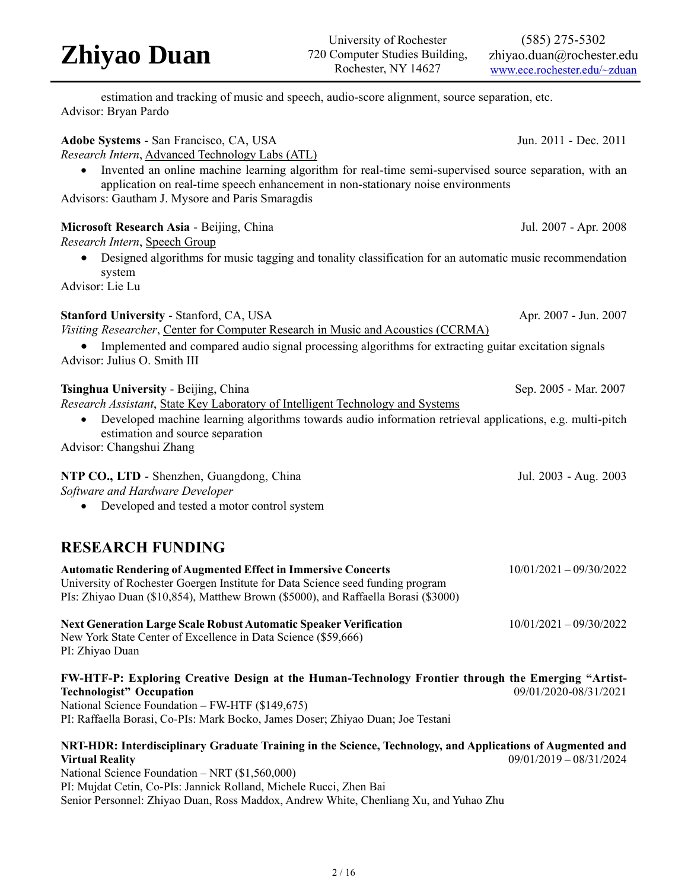#### University of Rochester 720 Computer Studies Building, Rochester, NY 14627 (585) 275-5302 zhiyao.duan@rochester.edu [www.ece.rochester.edu/~zduan](http://www.ece.rochester.edu/~zduan)

estimation and tracking of music and speech, audio-score alignment, source separation, etc. Advisor: Bryan Pardo

Adobe Systems - San Francisco, CA, USA Jun. 2011 - Dec. 2011

| Research Intern, Advanced Technology Labs (ATL)<br>Invented an online machine learning algorithm for real-time semi-supervised source separation, with an<br>application on real-time speech enhancement in non-stationary noise environments<br>Advisors: Gautham J. Mysore and Paris Smaragdis                                                       |                           |
|--------------------------------------------------------------------------------------------------------------------------------------------------------------------------------------------------------------------------------------------------------------------------------------------------------------------------------------------------------|---------------------------|
| Microsoft Research Asia - Beijing, China                                                                                                                                                                                                                                                                                                               | Jul. 2007 - Apr. 2008     |
| Research Intern, Speech Group<br>Designed algorithms for music tagging and tonality classification for an automatic music recommendation<br>system<br>Advisor: Lie Lu                                                                                                                                                                                  |                           |
| <b>Stanford University - Stanford, CA, USA</b><br>Visiting Researcher, Center for Computer Research in Music and Acoustics (CCRMA)<br>Implemented and compared audio signal processing algorithms for extracting guitar excitation signals<br>Advisor: Julius O. Smith III                                                                             | Apr. 2007 - Jun. 2007     |
| Tsinghua University - Beijing, China<br>Research Assistant, State Key Laboratory of Intelligent Technology and Systems<br>Developed machine learning algorithms towards audio information retrieval applications, e.g. multi-pitch<br>$\bullet$<br>estimation and source separation<br>Advisor: Changshui Zhang                                        | Sep. 2005 - Mar. 2007     |
| NTP CO., LTD - Shenzhen, Guangdong, China<br>Software and Hardware Developer<br>Developed and tested a motor control system                                                                                                                                                                                                                            | Jul. 2003 - Aug. 2003     |
| <b>RESEARCH FUNDING</b>                                                                                                                                                                                                                                                                                                                                |                           |
| <b>Automatic Rendering of Augmented Effect in Immersive Concerts</b><br>University of Rochester Goergen Institute for Data Science seed funding program<br>PIs: Zhiyao Duan (\$10,854), Matthew Brown (\$5000), and Raffaella Borasi (\$3000)                                                                                                          | $10/01/2021 - 09/30/2022$ |
| Next Generation Large Scale Robust Automatic Speaker Verification<br>New York State Center of Excellence in Data Science (\$59,666)<br>PI: Zhiyao Duan                                                                                                                                                                                                 | $10/01/2021 - 09/30/2022$ |
| FW-HTF-P: Exploring Creative Design at the Human-Technology Frontier through the Emerging "Artist-<br><b>Technologist" Occupation</b><br>National Science Foundation - FW-HTF (\$149,675)<br>PI: Raffaella Borasi, Co-PIs: Mark Bocko, James Doser; Zhiyao Duan; Joe Testani                                                                           | 09/01/2020-08/31/2021     |
| NRT-HDR: Interdisciplinary Graduate Training in the Science, Technology, and Applications of Augmented and<br><b>Virtual Reality</b><br>National Science Foundation – NRT (\$1,560,000)<br>PI: Mujdat Cetin, Co-PIs: Jannick Rolland, Michele Rucci, Zhen Bai<br>Senior Personnel: Zhiyao Duan, Ross Maddox, Andrew White, Chenliang Xu, and Yuhao Zhu | $09/01/2019 - 08/31/2024$ |

## **Zhiyao Duan**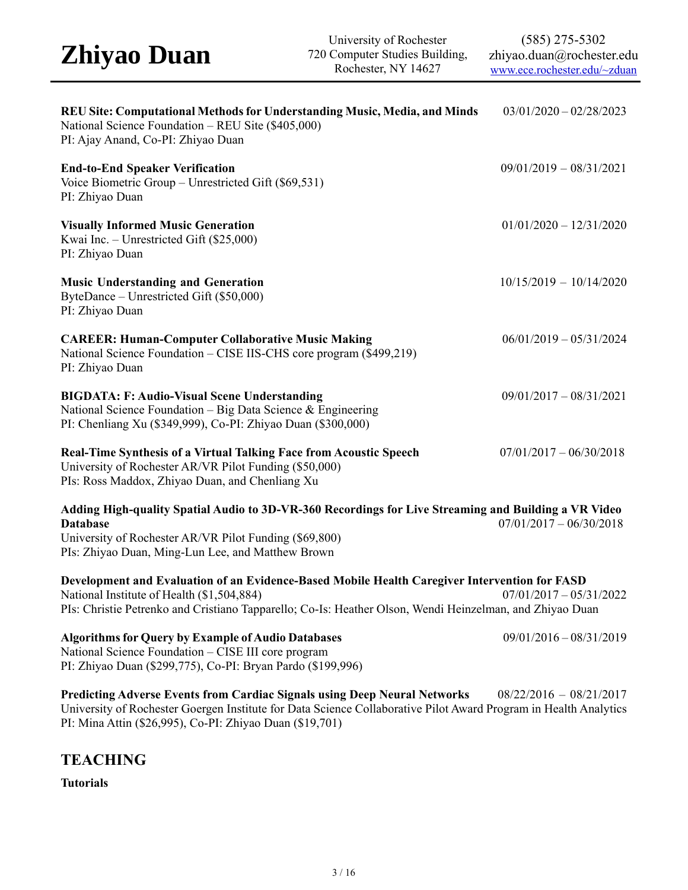| REU Site: Computational Methods for Understanding Music, Media, and Minds<br>National Science Foundation - REU Site (\$405,000)<br>PI: Ajay Anand, Co-PI: Zhiyao Duan                                                                                     | $03/01/2020 - 02/28/2023$ |
|-----------------------------------------------------------------------------------------------------------------------------------------------------------------------------------------------------------------------------------------------------------|---------------------------|
| <b>End-to-End Speaker Verification</b><br>Voice Biometric Group - Unrestricted Gift (\$69,531)<br>PI: Zhiyao Duan                                                                                                                                         | $09/01/2019 - 08/31/2021$ |
| <b>Visually Informed Music Generation</b><br>Kwai Inc. - Unrestricted Gift (\$25,000)<br>PI: Zhiyao Duan                                                                                                                                                  | $01/01/2020 - 12/31/2020$ |
| <b>Music Understanding and Generation</b><br>ByteDance - Unrestricted Gift (\$50,000)<br>PI: Zhiyao Duan                                                                                                                                                  | $10/15/2019 - 10/14/2020$ |
| <b>CAREER: Human-Computer Collaborative Music Making</b><br>National Science Foundation – CISE IIS-CHS core program (\$499,219)<br>PI: Zhiyao Duan                                                                                                        | $06/01/2019 - 05/31/2024$ |
| <b>BIGDATA: F: Audio-Visual Scene Understanding</b><br>National Science Foundation – Big Data Science & Engineering<br>PI: Chenliang Xu (\$349,999), Co-PI: Zhiyao Duan (\$300,000)                                                                       | $09/01/2017 - 08/31/2021$ |
| <b>Real-Time Synthesis of a Virtual Talking Face from Acoustic Speech</b><br>University of Rochester AR/VR Pilot Funding (\$50,000)<br>PIs: Ross Maddox, Zhiyao Duan, and Chenliang Xu                                                                    | $07/01/2017 - 06/30/2018$ |
| Adding High-quality Spatial Audio to 3D-VR-360 Recordings for Live Streaming and Building a VR Video<br><b>Database</b><br>University of Rochester AR/VR Pilot Funding (\$69,800)<br>PIs: Zhiyao Duan, Ming-Lun Lee, and Matthew Brown                    | $07/01/2017 - 06/30/2018$ |
| Development and Evaluation of an Evidence-Based Mobile Health Caregiver Intervention for FASD<br>National Institute of Health (\$1,504,884)<br>PIs: Christie Petrenko and Cristiano Tapparello; Co-Is: Heather Olson, Wendi Heinzelman, and Zhiyao Duan   | $07/01/2017 - 05/31/2022$ |
| <b>Algorithms for Query by Example of Audio Databases</b><br>National Science Foundation - CISE III core program<br>PI: Zhiyao Duan (\$299,775), Co-PI: Bryan Pardo (\$199,996)                                                                           | $09/01/2016 - 08/31/2019$ |
| Predicting Adverse Events from Cardiac Signals using Deep Neural Networks<br>University of Rochester Goergen Institute for Data Science Collaborative Pilot Award Program in Health Analytics<br>PI: Mina Attin (\$26,995), Co-PI: Zhiyao Duan (\$19,701) | $08/22/2016 - 08/21/2017$ |

### **TEACHING**

**Tutorials**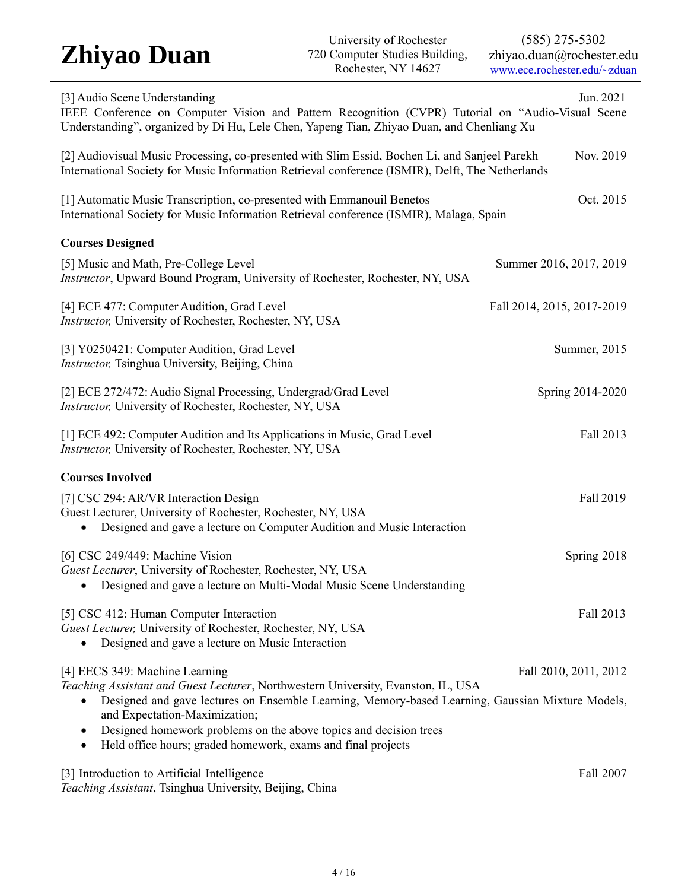| [3] Audio Scene Understanding<br>Jun. 2021<br>IEEE Conference on Computer Vision and Pattern Recognition (CVPR) Tutorial on "Audio-Visual Scene<br>Understanding", organized by Di Hu, Lele Chen, Yapeng Tian, Zhiyao Duan, and Chenliang Xu                                                                                                                                                       |                            |
|----------------------------------------------------------------------------------------------------------------------------------------------------------------------------------------------------------------------------------------------------------------------------------------------------------------------------------------------------------------------------------------------------|----------------------------|
| Nov. 2019<br>[2] Audiovisual Music Processing, co-presented with Slim Essid, Bochen Li, and Sanjeel Parekh<br>International Society for Music Information Retrieval conference (ISMIR), Delft, The Netherlands                                                                                                                                                                                     |                            |
| [1] Automatic Music Transcription, co-presented with Emmanouil Benetos<br>International Society for Music Information Retrieval conference (ISMIR), Malaga, Spain                                                                                                                                                                                                                                  | Oct. 2015                  |
| <b>Courses Designed</b>                                                                                                                                                                                                                                                                                                                                                                            |                            |
| [5] Music and Math, Pre-College Level<br>Instructor, Upward Bound Program, University of Rochester, Rochester, NY, USA                                                                                                                                                                                                                                                                             | Summer 2016, 2017, 2019    |
| [4] ECE 477: Computer Audition, Grad Level<br>Instructor, University of Rochester, Rochester, NY, USA                                                                                                                                                                                                                                                                                              | Fall 2014, 2015, 2017-2019 |
| [3] Y0250421: Computer Audition, Grad Level<br><i>Instructor</i> , Tsinghua University, Beijing, China                                                                                                                                                                                                                                                                                             | Summer, 2015               |
| [2] ECE 272/472: Audio Signal Processing, Undergrad/Grad Level<br>Instructor, University of Rochester, Rochester, NY, USA                                                                                                                                                                                                                                                                          | Spring 2014-2020           |
| [1] ECE 492: Computer Audition and Its Applications in Music, Grad Level<br>Instructor, University of Rochester, Rochester, NY, USA                                                                                                                                                                                                                                                                | Fall 2013                  |
| <b>Courses Involved</b>                                                                                                                                                                                                                                                                                                                                                                            |                            |
| [7] CSC 294: AR/VR Interaction Design<br>Guest Lecturer, University of Rochester, Rochester, NY, USA<br>Designed and gave a lecture on Computer Audition and Music Interaction<br>$\bullet$                                                                                                                                                                                                        | Fall 2019                  |
| [6] CSC 249/449: Machine Vision<br>Guest Lecturer, University of Rochester, Rochester, NY, USA<br>Designed and gave a lecture on Multi-Modal Music Scene Understanding                                                                                                                                                                                                                             | Spring 2018                |
| [5] CSC 412: Human Computer Interaction<br>Guest Lecturer, University of Rochester, Rochester, NY, USA<br>Designed and gave a lecture on Music Interaction                                                                                                                                                                                                                                         | Fall 2013                  |
| [4] EECS 349: Machine Learning<br>Teaching Assistant and Guest Lecturer, Northwestern University, Evanston, IL, USA<br>Designed and gave lectures on Ensemble Learning, Memory-based Learning, Gaussian Mixture Models,<br>and Expectation-Maximization;<br>Designed homework problems on the above topics and decision trees<br>Held office hours; graded homework, exams and final projects<br>٠ | Fall 2010, 2011, 2012      |
| [3] Introduction to Artificial Intelligence                                                                                                                                                                                                                                                                                                                                                        | Fall 2007                  |

*Teaching Assistant*, Tsinghua University, Beijing, China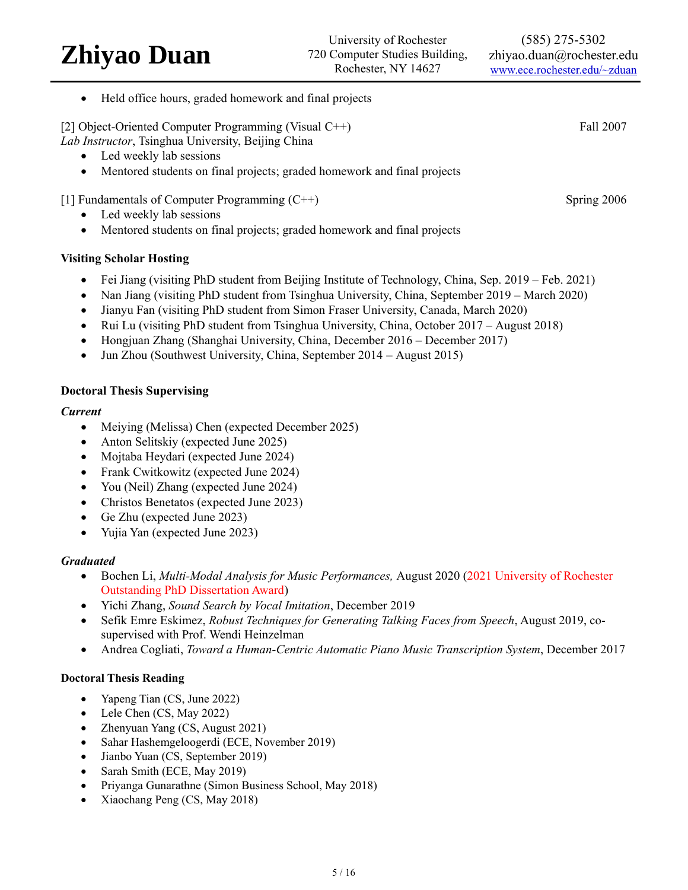(585) 275-5302 zhiyao.duan@rochester.edu [www.ece.rochester.edu/~zduan](http://www.ece.rochester.edu/~zduan)

Held office hours, graded homework and final projects

[2] Object-Oriented Computer Programming (Visual C++) Fall 2007

*Lab Instructor*, Tsinghua University, Beijing China

- Led weekly lab sessions
- Mentored students on final projects; graded homework and final projects

### [1] Fundamentals of Computer Programming (C++) Spring 2006

- Led weekly lab sessions
- Mentored students on final projects; graded homework and final projects

#### **Visiting Scholar Hosting**

- Fei Jiang (visiting PhD student from Beijing Institute of Technology, China, Sep. 2019 Feb. 2021)
- Nan Jiang (visiting PhD student from Tsinghua University, China, September 2019 March 2020)
- Jianyu Fan (visiting PhD student from Simon Fraser University, Canada, March 2020)
- Rui Lu (visiting PhD student from Tsinghua University, China, October 2017 August 2018)
- Hongjuan Zhang (Shanghai University, China, December 2016 December 2017)
- Jun Zhou (Southwest University, China, September 2014 August 2015)

#### **Doctoral Thesis Supervising**

#### *Current*

- Meiying (Melissa) Chen (expected December 2025)
- Anton Selitskiy (expected June 2025)
- Mojtaba Heydari (expected June 2024)
- Frank Cwitkowitz (expected June 2024)
- You (Neil) Zhang (expected June 2024)
- Christos Benetatos (expected June 2023)
- Ge Zhu (expected June 2023)
- Yujia Yan (expected June 2023)

#### *Graduated*

- Bochen Li, *Multi-Modal Analysis for Music Performances,* August 2020 (2021 University of Rochester Outstanding PhD Dissertation Award)
- Yichi Zhang, *Sound Search by Vocal Imitation*, December 2019
- Sefik Emre Eskimez, *Robust Techniques for Generating Talking Faces from Speech*, August 2019, cosupervised with Prof. Wendi Heinzelman
- Andrea Cogliati, *Toward a Human-Centric Automatic Piano Music Transcription System*, December 2017

#### **Doctoral Thesis Reading**

- Yapeng Tian (CS, June 2022)
- Lele Chen (CS, May 2022)
- Zhenyuan Yang (CS, August 2021)
- Sahar Hashemgeloogerdi (ECE, November 2019)
- Jianbo Yuan (CS, September 2019)
- Sarah Smith (ECE, May 2019)
- Priyanga Gunarathne (Simon Business School, May 2018)
- Xiaochang Peng (CS, May 2018)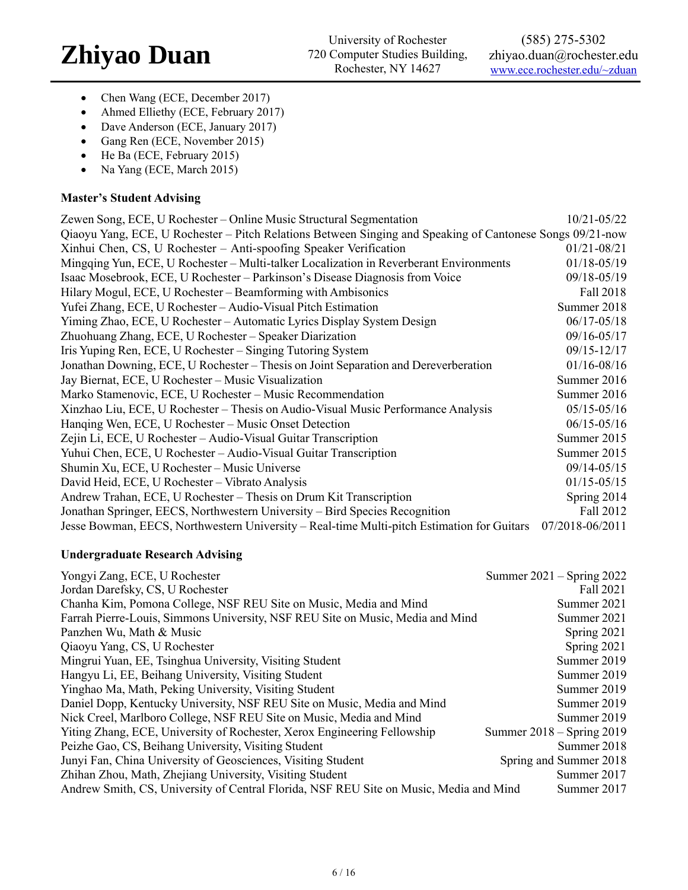- Chen Wang (ECE, December 2017)
- Ahmed Elliethy (ECE, February 2017)
- Dave Anderson (ECE, January 2017)
- Gang Ren (ECE, November 2015)
- He Ba (ECE, February 2015)
- Na Yang (ECE, March 2015)

#### **Master's Student Advising**

| Zewen Song, ECE, U Rochester – Online Music Structural Segmentation                                       | 10/21-05/22     |
|-----------------------------------------------------------------------------------------------------------|-----------------|
| Qiaoyu Yang, ECE, U Rochester – Pitch Relations Between Singing and Speaking of Cantonese Songs 09/21-now |                 |
| Xinhui Chen, CS, U Rochester - Anti-spoofing Speaker Verification                                         | $01/21 - 08/21$ |
| Mingqing Yun, ECE, U Rochester – Multi-talker Localization in Reverberant Environments                    | 01/18-05/19     |
| Isaac Mosebrook, ECE, U Rochester – Parkinson's Disease Diagnosis from Voice                              | 09/18-05/19     |
| Hilary Mogul, ECE, U Rochester – Beamforming with Ambisonics                                              | Fall 2018       |
| Yufei Zhang, ECE, U Rochester - Audio-Visual Pitch Estimation                                             | Summer 2018     |
| Yiming Zhao, ECE, U Rochester - Automatic Lyrics Display System Design                                    | $06/17 - 05/18$ |
| Zhuohuang Zhang, ECE, U Rochester - Speaker Diarization                                                   | 09/16-05/17     |
| Iris Yuping Ren, ECE, U Rochester – Singing Tutoring System                                               | 09/15-12/17     |
| Jonathan Downing, ECE, U Rochester - Thesis on Joint Separation and Dereverberation                       | 01/16-08/16     |
| Jay Biernat, ECE, U Rochester – Music Visualization                                                       | Summer 2016     |
| Marko Stamenovic, ECE, U Rochester - Music Recommendation                                                 | Summer 2016     |
| Xinzhao Liu, ECE, U Rochester – Thesis on Audio-Visual Music Performance Analysis                         | $05/15 - 05/16$ |
| Hanqing Wen, ECE, U Rochester – Music Onset Detection                                                     | $06/15 - 05/16$ |
| Zejin Li, ECE, U Rochester – Audio-Visual Guitar Transcription                                            | Summer 2015     |
| Yuhui Chen, ECE, U Rochester - Audio-Visual Guitar Transcription                                          | Summer 2015     |
| Shumin Xu, ECE, U Rochester – Music Universe                                                              | 09/14-05/15     |
| David Heid, ECE, U Rochester - Vibrato Analysis                                                           | $01/15 - 05/15$ |
| Andrew Trahan, ECE, U Rochester – Thesis on Drum Kit Transcription                                        | Spring 2014     |
| Jonathan Springer, EECS, Northwestern University – Bird Species Recognition                               | Fall 2012       |
| Jesse Bowman, EECS, Northwestern University – Real-time Multi-pitch Estimation for Guitars                | 07/2018-06/2011 |

### **Undergraduate Research Advising**

| Yongyi Zang, ECE, U Rochester                                                          | Summer $2021 -$ Spring $2022$ |
|----------------------------------------------------------------------------------------|-------------------------------|
| Jordan Darefsky, CS, U Rochester                                                       | Fall 2021                     |
| Chanha Kim, Pomona College, NSF REU Site on Music, Media and Mind                      | Summer 2021                   |
| Farrah Pierre-Louis, Simmons University, NSF REU Site on Music, Media and Mind         | Summer 2021                   |
| Panzhen Wu, Math & Music                                                               | Spring 2021                   |
| Qiaoyu Yang, CS, U Rochester                                                           | Spring 2021                   |
| Mingrui Yuan, EE, Tsinghua University, Visiting Student                                | Summer 2019                   |
| Hangyu Li, EE, Beihang University, Visiting Student                                    | Summer 2019                   |
| Yinghao Ma, Math, Peking University, Visiting Student                                  | Summer 2019                   |
| Daniel Dopp, Kentucky University, NSF REU Site on Music, Media and Mind                | Summer 2019                   |
| Nick Creel, Marlboro College, NSF REU Site on Music, Media and Mind                    | Summer 2019                   |
| Yiting Zhang, ECE, University of Rochester, Xerox Engineering Fellowship               | Summer $2018 -$ Spring $2019$ |
| Peizhe Gao, CS, Beihang University, Visiting Student                                   | Summer 2018                   |
| Junyi Fan, China University of Geosciences, Visiting Student                           | Spring and Summer 2018        |
| Zhihan Zhou, Math, Zhejiang University, Visiting Student                               | Summer 2017                   |
| Andrew Smith, CS, University of Central Florida, NSF REU Site on Music, Media and Mind | Summer 2017                   |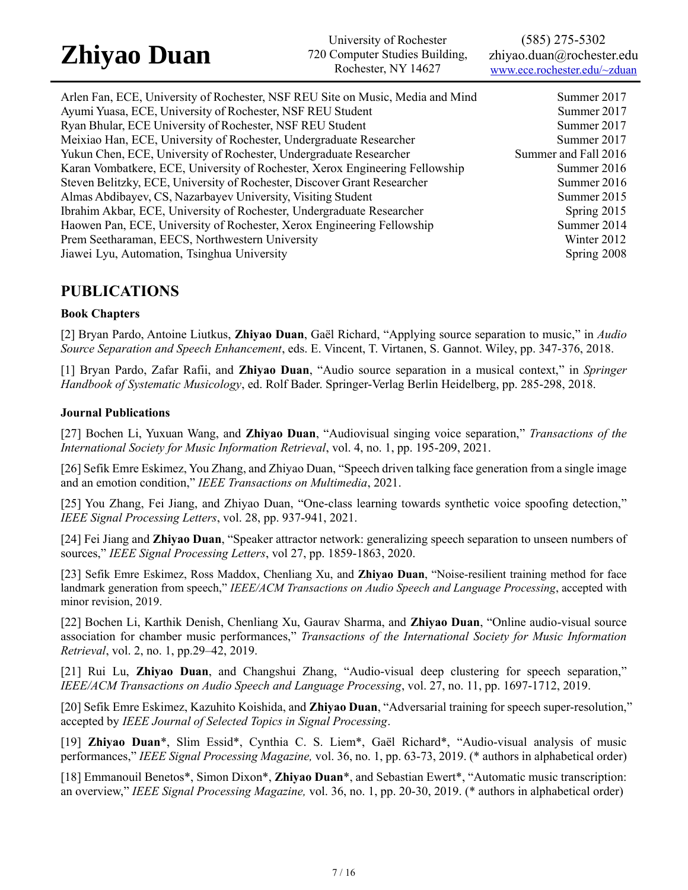University of Rochester 720 Computer Studies Building, Rochester, NY 14627

(585) 275-5302 zhiyao.duan@rochester.edu [www.ece.rochester.edu/~zduan](http://www.ece.rochester.edu/~zduan)

Arlen Fan, ECE, University of Rochester, NSF REU Site on Music, Media and Mind Summer 2017 Ayumi Yuasa, ECE, University of Rochester, NSF REU Student Summer 2017 Ryan Bhular, ECE University of Rochester, NSF REU Student Summer 2017 Meixiao Han, ECE, University of Rochester, Undergraduate Researcher Summer 2017 Yukun Chen, ECE, University of Rochester, Undergraduate Researcher Summer and Fall 2016 Karan Vombatkere, ECE, University of Rochester, Xerox Engineering Fellowship Summer 2016 Steven Belitzky, ECE, University of Rochester, Discover Grant Researcher Summer 2016 Almas Abdibayev, CS, Nazarbayev University, Visiting Student Summer 2015 Ibrahim Akbar, ECE, University of Rochester, Undergraduate Researcher Spring 2015 Haowen Pan, ECE, University of Rochester, Xerox Engineering Fellowship Summer 2014 Prem Seetharaman, EECS, Northwestern University Winter 2012 Jiawei Lyu, Automation, Tsinghua University Spring 2008

### **PUBLICATIONS**

#### **Book Chapters**

[2] Bryan Pardo, Antoine Liutkus, **Zhiyao Duan**, Gaël Richard, "Applying source separation to music," in *Audio Source Separation and Speech Enhancement*, eds. E. Vincent, T. Virtanen, S. Gannot. Wiley, pp. 347-376, 2018.

[1] Bryan Pardo, Zafar Rafii, and **Zhiyao Duan**, "Audio source separation in a musical context," in *Springer Handbook of Systematic Musicology*, ed. Rolf Bader. Springer-Verlag Berlin Heidelberg, pp. 285-298, 2018.

#### **Journal Publications**

[27] Bochen Li, Yuxuan Wang, and **Zhiyao Duan**, "Audiovisual singing voice separation," *Transactions of the International Society for Music Information Retrieval*, vol. 4, no. 1, pp. 195-209, 2021.

[26] Sefik Emre Eskimez, You Zhang, and Zhiyao Duan, "Speech driven talking face generation from a single image and an emotion condition," *IEEE Transactions on Multimedia*, 2021.

[25] You Zhang, Fei Jiang, and Zhiyao Duan, "One-class learning towards synthetic voice spoofing detection," *IEEE Signal Processing Letters*, vol. 28, pp. 937-941, 2021.

[24] Fei Jiang and **Zhiyao Duan**, "Speaker attractor network: generalizing speech separation to unseen numbers of sources," *IEEE Signal Processing Letters*, vol 27, pp. 1859-1863, 2020.

[23] Sefik Emre Eskimez, Ross Maddox, Chenliang Xu, and **Zhiyao Duan**, "Noise-resilient training method for face landmark generation from speech," *IEEE/ACM Transactions on Audio Speech and Language Processing*, accepted with minor revision, 2019.

[22] Bochen Li, Karthik Denish, Chenliang Xu, Gaurav Sharma, and **Zhiyao Duan**, "Online audio-visual source association for chamber music performances," *Transactions of the International Society for Music Information Retrieval*, vol. 2, no. 1, pp.29–42, 2019.

[21] Rui Lu, **Zhiyao Duan**, and Changshui Zhang, "Audio-visual deep clustering for speech separation," *IEEE/ACM Transactions on Audio Speech and Language Processing*, vol. 27, no. 11, pp. 1697-1712, 2019.

[20] Sefik Emre Eskimez, Kazuhito Koishida, and **Zhiyao Duan**, "Adversarial training for speech super-resolution," accepted by *IEEE Journal of Selected Topics in Signal Processing*.

[19] **Zhiyao Duan**\*, Slim Essid\*, Cynthia C. S. Liem\*, Gaël Richard\*, "Audio-visual analysis of music performances," *IEEE Signal Processing Magazine,* vol. 36, no. 1, pp. 63-73, 2019. (\* authors in alphabetical order)

[18] Emmanouil Benetos\*, Simon Dixon\*, **Zhiyao Duan**\*, and Sebastian Ewert\*, "Automatic music transcription: an overview," *IEEE Signal Processing Magazine,* vol. 36, no. 1, pp. 20-30, 2019. (\* authors in alphabetical order)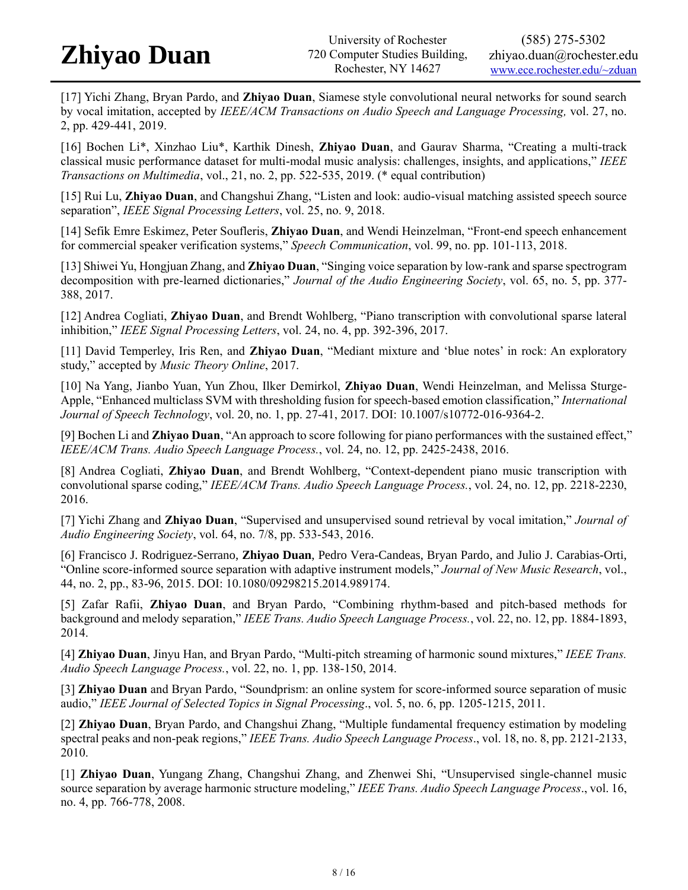[17] Yichi Zhang, Bryan Pardo, and **Zhiyao Duan**, Siamese style convolutional neural networks for sound search by vocal imitation, accepted by *IEEE/ACM Transactions on Audio Speech and Language Processing,* vol. 27, no. 2, pp. 429-441, 2019.

[16] Bochen Li\*, Xinzhao Liu\*, Karthik Dinesh, **Zhiyao Duan**, and Gaurav Sharma, "Creating a multi-track classical music performance dataset for multi-modal music analysis: challenges, insights, and applications," *IEEE Transactions on Multimedia*, vol., 21, no. 2, pp. 522-535, 2019. (\* equal contribution)

[15] Rui Lu, **Zhiyao Duan**, and Changshui Zhang, "Listen and look: audio-visual matching assisted speech source separation", *IEEE Signal Processing Letters*, vol. 25, no. 9, 2018.

[14] Sefik Emre Eskimez, Peter Soufleris, **Zhiyao Duan**, and Wendi Heinzelman, "Front-end speech enhancement for commercial speaker verification systems," *Speech Communication*, vol. 99, no. pp. 101-113, 2018.

[13] Shiwei Yu, Hongjuan Zhang, and **Zhiyao Duan**, "Singing voice separation by low-rank and sparse spectrogram decomposition with pre-learned dictionaries," *Journal of the Audio Engineering Society*, vol. 65, no. 5, pp. 377- 388, 2017.

[12] Andrea Cogliati, **Zhiyao Duan**, and Brendt Wohlberg, "Piano transcription with convolutional sparse lateral inhibition," *IEEE Signal Processing Letters*, vol. 24, no. 4, pp. 392-396, 2017.

[11] David Temperley, Iris Ren, and **Zhiyao Duan**, "Mediant mixture and 'blue notes' in rock: An exploratory study," accepted by *Music Theory Online*, 2017.

[10] Na Yang, Jianbo Yuan, Yun Zhou, Ilker Demirkol, **Zhiyao Duan**, Wendi Heinzelman, and Melissa Sturge-Apple, "Enhanced multiclass SVM with thresholding fusion for speech-based emotion classification," *International Journal of Speech Technology*, vol. 20, no. 1, pp. 27-41, 2017. DOI: 10.1007/s10772-016-9364-2.

[9] Bochen Li and **Zhiyao Duan**, "An approach to score following for piano performances with the sustained effect," *IEEE/ACM Trans. Audio Speech Language Process.*, vol. 24, no. 12, pp. 2425-2438, 2016.

[8] Andrea Cogliati, **Zhiyao Duan**, and Brendt Wohlberg, "Context-dependent piano music transcription with convolutional sparse coding," *IEEE/ACM Trans. Audio Speech Language Process.*, vol. 24, no. 12, pp. 2218-2230, 2016.

[7] Yichi Zhang and **Zhiyao Duan**, "Supervised and unsupervised sound retrieval by vocal imitation," *Journal of Audio Engineering Society*, vol. 64, no. 7/8, pp. 533-543, 2016.

[6] Francisco J. Rodriguez-Serrano, **Zhiyao Duan**, Pedro Vera-Candeas, Bryan Pardo, and Julio J. Carabias-Orti, "Online score-informed source separation with adaptive instrument models," *Journal of New Music Research*, vol., 44, no. 2, pp., 83-96, 2015. DOI: 10.1080/09298215.2014.989174.

[5] Zafar Rafii, **Zhiyao Duan**, and Bryan Pardo, "Combining rhythm-based and pitch-based methods for background and melody separation," *IEEE Trans. Audio Speech Language Process.*, vol. 22, no. 12, pp. 1884-1893, 2014.

[4] **Zhiyao Duan**, Jinyu Han, and Bryan Pardo, "Multi-pitch streaming of harmonic sound mixtures," *IEEE Trans. Audio Speech Language Process.*, vol. 22, no. 1, pp. 138-150, 2014.

[3] **Zhiyao Duan** and Bryan Pardo, "Soundprism: an online system for score-informed source separation of music audio," *IEEE Journal of Selected Topics in Signal Processing*., vol. 5, no. 6, pp. 1205-1215, 2011.

[2] **Zhiyao Duan**, Bryan Pardo, and Changshui Zhang, "Multiple fundamental frequency estimation by modeling spectral peaks and non-peak regions," *IEEE Trans. Audio Speech Language Process*., vol. 18, no. 8, pp. 2121-2133, 2010.

[1] **Zhiyao Duan**, Yungang Zhang, Changshui Zhang, and Zhenwei Shi, "Unsupervised single-channel music source separation by average harmonic structure modeling," *IEEE Trans. Audio Speech Language Process*., vol. 16, no. 4, pp. 766-778, 2008.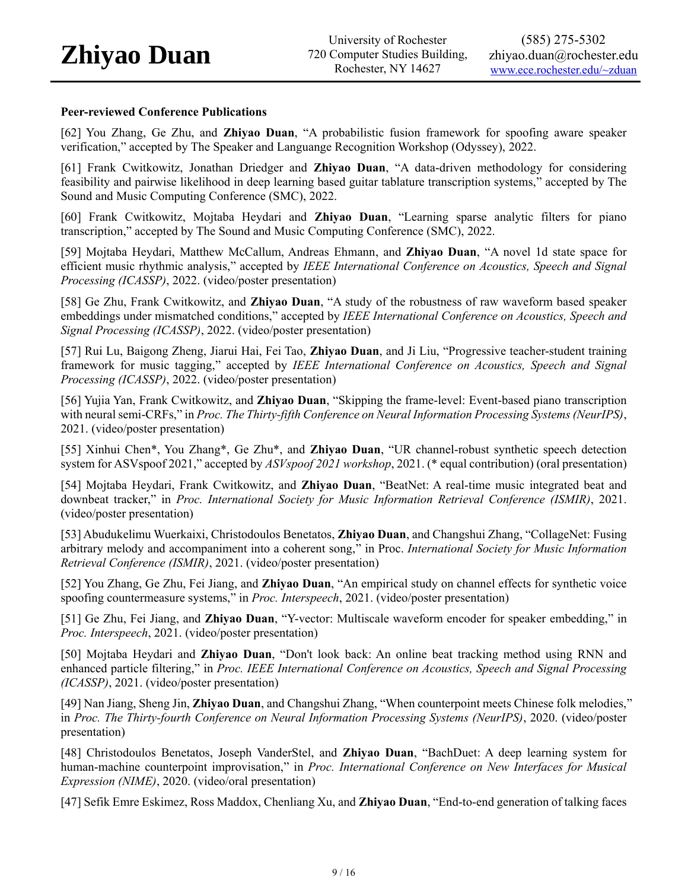#### **Peer-reviewed Conference Publications**

[62] You Zhang, Ge Zhu, and **Zhiyao Duan**, "A probabilistic fusion framework for spoofing aware speaker verification," accepted by The Speaker and Languange Recognition Workshop (Odyssey), 2022.

[61] Frank Cwitkowitz, Jonathan Driedger and **Zhiyao Duan**, "A data-driven methodology for considering feasibility and pairwise likelihood in deep learning based guitar tablature transcription systems," accepted by The Sound and Music Computing Conference (SMC), 2022.

[60] Frank Cwitkowitz, Mojtaba Heydari and **Zhiyao Duan**, "Learning sparse analytic filters for piano transcription," accepted by The Sound and Music Computing Conference (SMC), 2022.

[59] Mojtaba Heydari, Matthew McCallum, Andreas Ehmann, and **Zhiyao Duan**, "A novel 1d state space for efficient music rhythmic analysis," accepted by *IEEE International Conference on Acoustics, Speech and Signal Processing (ICASSP)*, 2022. (video/poster presentation)

[58] Ge Zhu, Frank Cwitkowitz, and **Zhiyao Duan**, "A study of the robustness of raw waveform based speaker embeddings under mismatched conditions," accepted by *IEEE International Conference on Acoustics, Speech and Signal Processing (ICASSP)*, 2022. (video/poster presentation)

[57] Rui Lu, Baigong Zheng, Jiarui Hai, Fei Tao, **Zhiyao Duan**, and Ji Liu, "Progressive teacher-student training framework for music tagging," accepted by *IEEE International Conference on Acoustics, Speech and Signal Processing (ICASSP)*, 2022. (video/poster presentation)

[56] Yujia Yan, Frank Cwitkowitz, and **Zhiyao Duan**, "Skipping the frame-level: Event-based piano transcription with neural semi-CRFs," in *Proc. The Thirty-fifth Conference on Neural Information Processing Systems (NeurIPS)*, 2021. (video/poster presentation)

[55] Xinhui Chen\*, You Zhang\*, Ge Zhu\*, and **Zhiyao Duan**, "UR channel-robust synthetic speech detection system for ASVspoof 2021," accepted by *ASVspoof 2021 workshop*, 2021. (\* equal contribution) (oral presentation)

[54] Mojtaba Heydari, Frank Cwitkowitz, and **Zhiyao Duan**, "BeatNet: A real-time music integrated beat and downbeat tracker," in *Proc. International Society for Music Information Retrieval Conference (ISMIR)*, 2021. (video/poster presentation)

[53] Abudukelimu Wuerkaixi, Christodoulos Benetatos, **Zhiyao Duan**, and Changshui Zhang, "CollageNet: Fusing arbitrary melody and accompaniment into a coherent song," in Proc. *International Society for Music Information Retrieval Conference (ISMIR)*, 2021. (video/poster presentation)

[52] You Zhang, Ge Zhu, Fei Jiang, and **Zhiyao Duan**, "An empirical study on channel effects for synthetic voice spoofing countermeasure systems," in *Proc. Interspeech*, 2021. (video/poster presentation)

[51] Ge Zhu, Fei Jiang, and **Zhiyao Duan**, "Y-vector: Multiscale waveform encoder for speaker embedding," in *Proc. Interspeech*, 2021. (video/poster presentation)

[50] Mojtaba Heydari and **Zhiyao Duan**, "Don't look back: An online beat tracking method using RNN and enhanced particle filtering," in *Proc. IEEE International Conference on Acoustics, Speech and Signal Processing (ICASSP)*, 2021. (video/poster presentation)

[49] Nan Jiang, Sheng Jin, **Zhiyao Duan**, and Changshui Zhang, "When counterpoint meets Chinese folk melodies," in *Proc. The Thirty-fourth Conference on Neural Information Processing Systems (NeurIPS)*, 2020. (video/poster presentation)

[48] Christodoulos Benetatos, Joseph VanderStel, and **Zhiyao Duan**, "BachDuet: A deep learning system for human-machine counterpoint improvisation," in *Proc. International Conference on New Interfaces for Musical Expression (NIME)*, 2020. (video/oral presentation)

[47] Sefik Emre Eskimez, Ross Maddox, Chenliang Xu, and **Zhiyao Duan**, "End-to-end generation of talking faces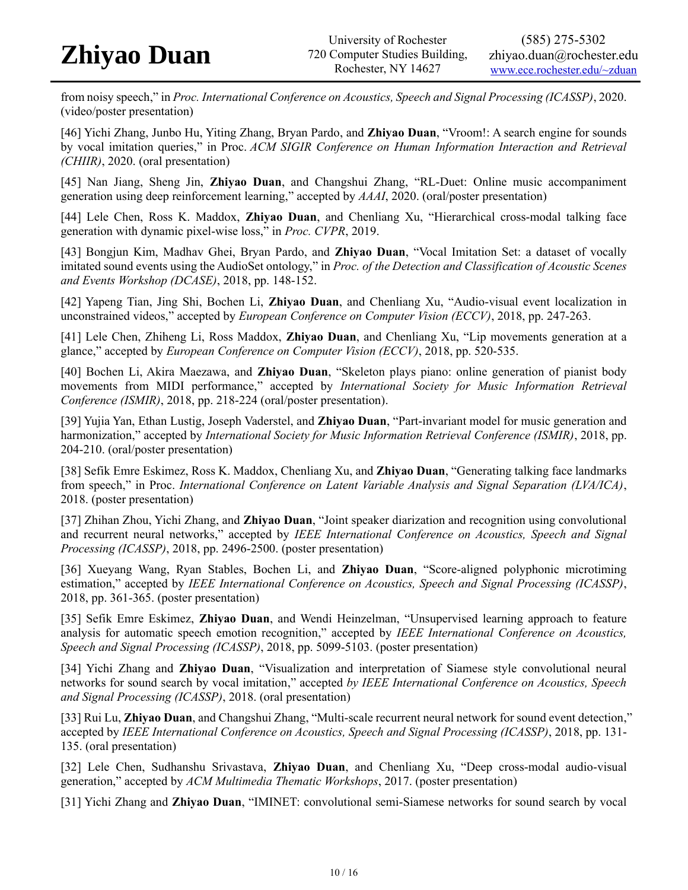from noisy speech," in *Proc. International Conference on Acoustics, Speech and Signal Processing (ICASSP)*, 2020. (video/poster presentation)

[46] Yichi Zhang, Junbo Hu, Yiting Zhang, Bryan Pardo, and **Zhiyao Duan**, "Vroom!: A search engine for sounds by vocal imitation queries," in Proc. *ACM SIGIR Conference on Human Information Interaction and Retrieval (CHIIR)*, 2020. (oral presentation)

[45] Nan Jiang, Sheng Jin, **Zhiyao Duan**, and Changshui Zhang, "RL-Duet: Online music accompaniment generation using deep reinforcement learning," accepted by *AAAI*, 2020. (oral/poster presentation)

[44] Lele Chen, Ross K. Maddox, **Zhiyao Duan**, and Chenliang Xu, "Hierarchical cross-modal talking face generation with dynamic pixel-wise loss," in *Proc. CVPR*, 2019.

[43] Bongjun Kim, Madhav Ghei, Bryan Pardo, and **Zhiyao Duan**, "Vocal Imitation Set: a dataset of vocally imitated sound events using the AudioSet ontology," in *Proc. of the Detection and Classification of Acoustic Scenes and Events Workshop (DCASE)*, 2018, pp. 148-152.

[42] Yapeng Tian, Jing Shi, Bochen Li, **Zhiyao Duan**, and Chenliang Xu, "Audio-visual event localization in unconstrained videos," accepted by *European Conference on Computer Vision (ECCV)*, 2018, pp. 247-263.

[41] Lele Chen, Zhiheng Li, Ross Maddox, **Zhiyao Duan**, and Chenliang Xu, "Lip movements generation at a glance," accepted by *European Conference on Computer Vision (ECCV)*, 2018, pp. 520-535.

[40] Bochen Li, Akira Maezawa, and **Zhiyao Duan**, "Skeleton plays piano: online generation of pianist body movements from MIDI performance," accepted by *International Society for Music Information Retrieval Conference (ISMIR)*, 2018, pp. 218-224 (oral/poster presentation).

[39] Yujia Yan, Ethan Lustig, Joseph Vaderstel, and **Zhiyao Duan**, "Part-invariant model for music generation and harmonization," accepted by *International Society for Music Information Retrieval Conference (ISMIR)*, 2018, pp. 204-210. (oral/poster presentation)

[38] Sefik Emre Eskimez, Ross K. Maddox, Chenliang Xu, and **Zhiyao Duan**, "Generating talking face landmarks from speech," in Proc. *International Conference on Latent Variable Analysis and Signal Separation (LVA/ICA)*, 2018. (poster presentation)

[37] Zhihan Zhou, Yichi Zhang, and **Zhiyao Duan**, "Joint speaker diarization and recognition using convolutional and recurrent neural networks," accepted by *IEEE International Conference on Acoustics, Speech and Signal Processing (ICASSP)*, 2018, pp. 2496-2500. (poster presentation)

[36] Xueyang Wang, Ryan Stables, Bochen Li, and **Zhiyao Duan**, "Score-aligned polyphonic microtiming estimation," accepted by *IEEE International Conference on Acoustics, Speech and Signal Processing (ICASSP)*, 2018, pp. 361-365. (poster presentation)

[35] Sefik Emre Eskimez, **Zhiyao Duan**, and Wendi Heinzelman, "Unsupervised learning approach to feature analysis for automatic speech emotion recognition," accepted by *IEEE International Conference on Acoustics, Speech and Signal Processing (ICASSP)*, 2018, pp. 5099-5103. (poster presentation)

[34] Yichi Zhang and **Zhiyao Duan**, "Visualization and interpretation of Siamese style convolutional neural networks for sound search by vocal imitation," accepted *by IEEE International Conference on Acoustics, Speech and Signal Processing (ICASSP)*, 2018. (oral presentation)

[33] Rui Lu, **Zhiyao Duan**, and Changshui Zhang, "Multi-scale recurrent neural network for sound event detection," accepted by *IEEE International Conference on Acoustics, Speech and Signal Processing (ICASSP)*, 2018, pp. 131- 135. (oral presentation)

[32] Lele Chen, Sudhanshu Srivastava, **Zhiyao Duan**, and Chenliang Xu, "Deep cross-modal audio-visual generation," accepted by *ACM Multimedia Thematic Workshops*, 2017. (poster presentation)

[31] Yichi Zhang and **Zhiyao Duan**, "IMINET: convolutional semi-Siamese networks for sound search by vocal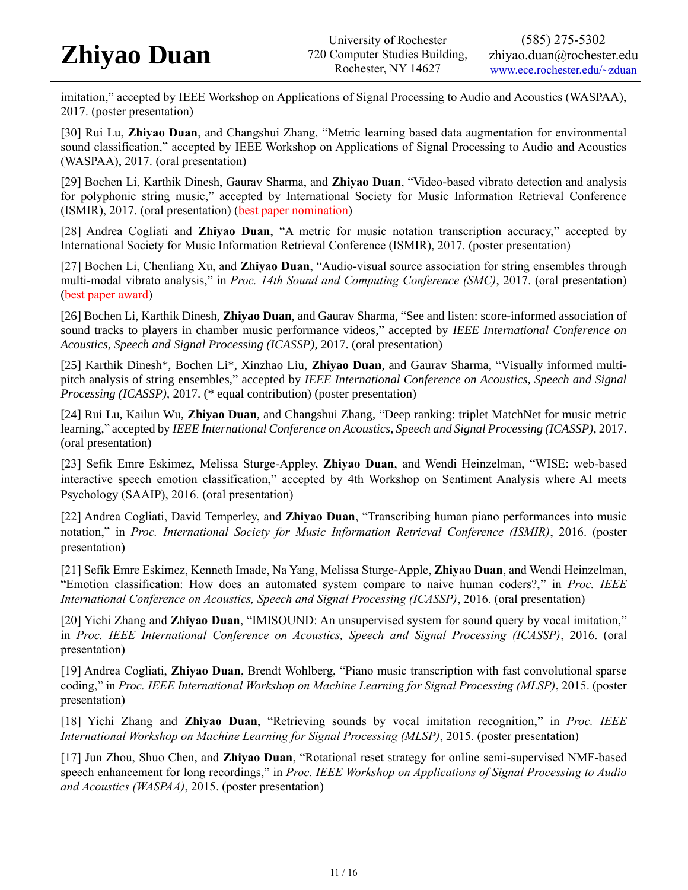imitation," accepted by IEEE Workshop on Applications of Signal Processing to Audio and Acoustics (WASPAA), 2017. (poster presentation)

[30] Rui Lu, **Zhiyao Duan**, and Changshui Zhang, "Metric learning based data augmentation for environmental sound classification," accepted by IEEE Workshop on Applications of Signal Processing to Audio and Acoustics (WASPAA), 2017. (oral presentation)

[29] Bochen Li, Karthik Dinesh, Gaurav Sharma, and **Zhiyao Duan**, "Video-based vibrato detection and analysis for polyphonic string music," accepted by International Society for Music Information Retrieval Conference (ISMIR), 2017. (oral presentation) (best paper nomination)

[28] Andrea Cogliati and **Zhiyao Duan**, "A metric for music notation transcription accuracy," accepted by International Society for Music Information Retrieval Conference (ISMIR), 2017. (poster presentation)

[27] Bochen Li, Chenliang Xu, and **Zhiyao Duan**, "Audio-visual source association for string ensembles through multi-modal vibrato analysis," in *Proc. 14th Sound and Computing Conference (SMC)*, 2017. (oral presentation) (best paper award)

[26] Bochen Li, Karthik Dinesh, **Zhiyao Duan**, and Gaurav Sharma, "See and listen: score-informed association of sound tracks to players in chamber music performance videos," accepted by *IEEE International Conference on Acoustics, Speech and Signal Processing (ICASSP)*, 2017. (oral presentation)

[25] Karthik Dinesh\*, Bochen Li\*, Xinzhao Liu, **Zhiyao Duan**, and Gaurav Sharma, "Visually informed multipitch analysis of string ensembles," accepted by *IEEE International Conference on Acoustics, Speech and Signal Processing (ICASSP)*, 2017. (\* equal contribution) (poster presentation)

[24] Rui Lu, Kailun Wu, **Zhiyao Duan**, and Changshui Zhang, "Deep ranking: triplet MatchNet for music metric learning," accepted by *IEEE International Conference on Acoustics, Speech and Signal Processing (ICASSP)*, 2017. (oral presentation)

[23] Sefik Emre Eskimez, Melissa Sturge-Appley, **Zhiyao Duan**, and Wendi Heinzelman, "WISE: web-based interactive speech emotion classification," accepted by 4th Workshop on Sentiment Analysis where AI meets Psychology (SAAIP), 2016. (oral presentation)

[22] Andrea Cogliati, David Temperley, and **Zhiyao Duan**, "Transcribing human piano performances into music notation," in *Proc. International Society for Music Information Retrieval Conference (ISMIR)*, 2016. (poster presentation)

[21] Sefik Emre Eskimez, Kenneth Imade, Na Yang, Melissa Sturge-Apple, **Zhiyao Duan**, and Wendi Heinzelman, "Emotion classification: How does an automated system compare to naive human coders?," in *Proc. IEEE International Conference on Acoustics, Speech and Signal Processing (ICASSP)*, 2016. (oral presentation)

[20] Yichi Zhang and **Zhiyao Duan**, "IMISOUND: An unsupervised system for sound query by vocal imitation," in *Proc. IEEE International Conference on Acoustics, Speech and Signal Processing (ICASSP)*, 2016. (oral presentation)

[19] Andrea Cogliati, **Zhiyao Duan**, Brendt Wohlberg, "Piano music transcription with fast convolutional sparse coding," in *Proc. IEEE International Workshop on Machine Learning for Signal Processing (MLSP)*, 2015. (poster presentation)

[18] Yichi Zhang and **Zhiyao Duan**, "Retrieving sounds by vocal imitation recognition," in *Proc. IEEE International Workshop on Machine Learning for Signal Processing (MLSP)*, 2015. (poster presentation)

[17] Jun Zhou, Shuo Chen, and **Zhiyao Duan**, "Rotational reset strategy for online semi-supervised NMF-based speech enhancement for long recordings," in *Proc. IEEE Workshop on Applications of Signal Processing to Audio and Acoustics (WASPAA)*, 2015. (poster presentation)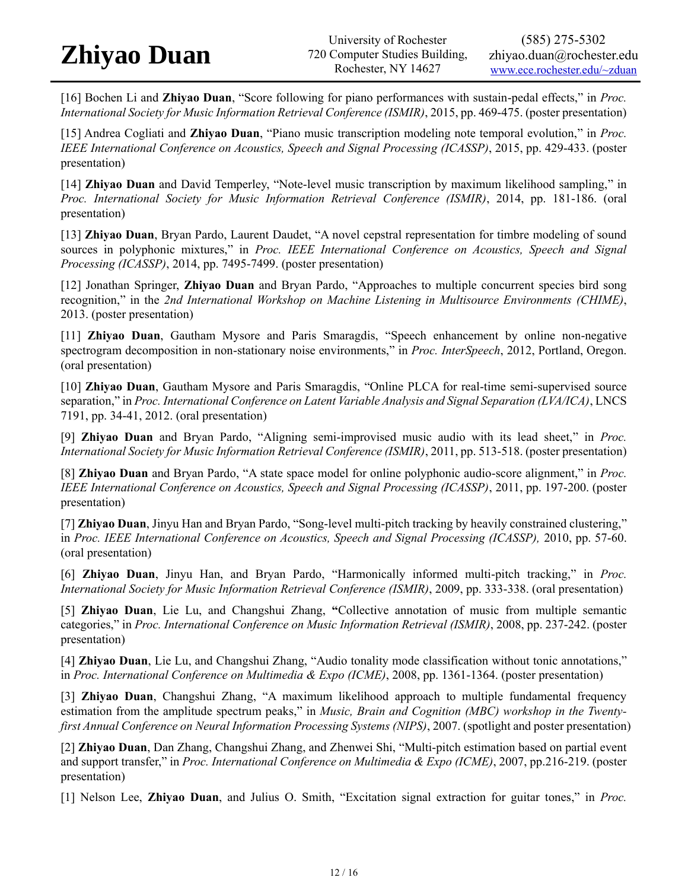[16] Bochen Li and **Zhiyao Duan**, "Score following for piano performances with sustain-pedal effects," in *Proc. International Society for Music Information Retrieval Conference (ISMIR)*, 2015, pp. 469-475. (poster presentation)

[15] Andrea Cogliati and **Zhiyao Duan**, "Piano music transcription modeling note temporal evolution," in *Proc. IEEE International Conference on Acoustics, Speech and Signal Processing (ICASSP)*, 2015, pp. 429-433. (poster presentation)

[14] **Zhiyao Duan** and David Temperley, "Note-level music transcription by maximum likelihood sampling," in *Proc. International Society for Music Information Retrieval Conference (ISMIR)*, 2014, pp. 181-186. (oral presentation)

[13] **Zhiyao Duan**, Bryan Pardo, Laurent Daudet, "A novel cepstral representation for timbre modeling of sound sources in polyphonic mixtures," in *Proc. IEEE International Conference on Acoustics, Speech and Signal Processing (ICASSP)*, 2014, pp. 7495-7499. (poster presentation)

[12] Jonathan Springer, **Zhiyao Duan** and Bryan Pardo, "Approaches to multiple concurrent species bird song recognition," in the *2nd International Workshop on Machine Listening in Multisource Environments (CHIME)*, 2013. (poster presentation)

[11] **Zhiyao Duan**, Gautham Mysore and Paris Smaragdis, "Speech enhancement by online non-negative spectrogram decomposition in non-stationary noise environments," in *Proc. InterSpeech*, 2012, Portland, Oregon. (oral presentation)

[10] **Zhiyao Duan**, Gautham Mysore and Paris Smaragdis, "Online PLCA for real-time semi-supervised source separation," in *Proc. International Conference on Latent Variable Analysis and Signal Separation (LVA/ICA)*, LNCS 7191, pp. 34-41, 2012. (oral presentation)

[9] **Zhiyao Duan** and Bryan Pardo, "Aligning semi-improvised music audio with its lead sheet," in *Proc. International Society for Music Information Retrieval Conference (ISMIR)*, 2011, pp. 513-518. (poster presentation)

[8] **Zhiyao Duan** and Bryan Pardo, "A state space model for online polyphonic audio-score alignment," in *Proc. IEEE International Conference on Acoustics, Speech and Signal Processing (ICASSP)*, 2011, pp. 197-200. (poster presentation)

[7] **Zhiyao Duan**, Jinyu Han and Bryan Pardo, "Song-level multi-pitch tracking by heavily constrained clustering," in *Proc. IEEE International Conference on Acoustics, Speech and Signal Processing (ICASSP),* 2010, pp. 57-60. (oral presentation)

[6] **Zhiyao Duan**, Jinyu Han, and Bryan Pardo, "Harmonically informed multi-pitch tracking," in *Proc. International Society for Music Information Retrieval Conference (ISMIR)*, 2009, pp. 333-338. (oral presentation)

[5] **Zhiyao Duan**, Lie Lu, and Changshui Zhang, **"**Collective annotation of music from multiple semantic categories," in *Proc. International Conference on Music Information Retrieval (ISMIR)*, 2008, pp. 237-242. (poster presentation)

[4] **Zhiyao Duan**, Lie Lu, and Changshui Zhang, "Audio tonality mode classification without tonic annotations," in *Proc. International Conference on Multimedia & Expo (ICME)*, 2008, pp. 1361-1364. (poster presentation)

[3] **Zhiyao Duan**, Changshui Zhang, "A maximum likelihood approach to multiple fundamental frequency estimation from the amplitude spectrum peaks," in *Music, Brain and Cognition (MBC) workshop in the Twentyfirst Annual Conference on Neural Information Processing Systems (NIPS)*, 2007. (spotlight and poster presentation)

[2] **Zhiyao Duan**, Dan Zhang, Changshui Zhang, and Zhenwei Shi, "Multi-pitch estimation based on partial event and support transfer," in *Proc. International Conference on Multimedia & Expo (ICME)*, 2007, pp.216-219. (poster presentation)

[1] Nelson Lee, **Zhiyao Duan**, and Julius O. Smith, "Excitation signal extraction for guitar tones," in *Proc.*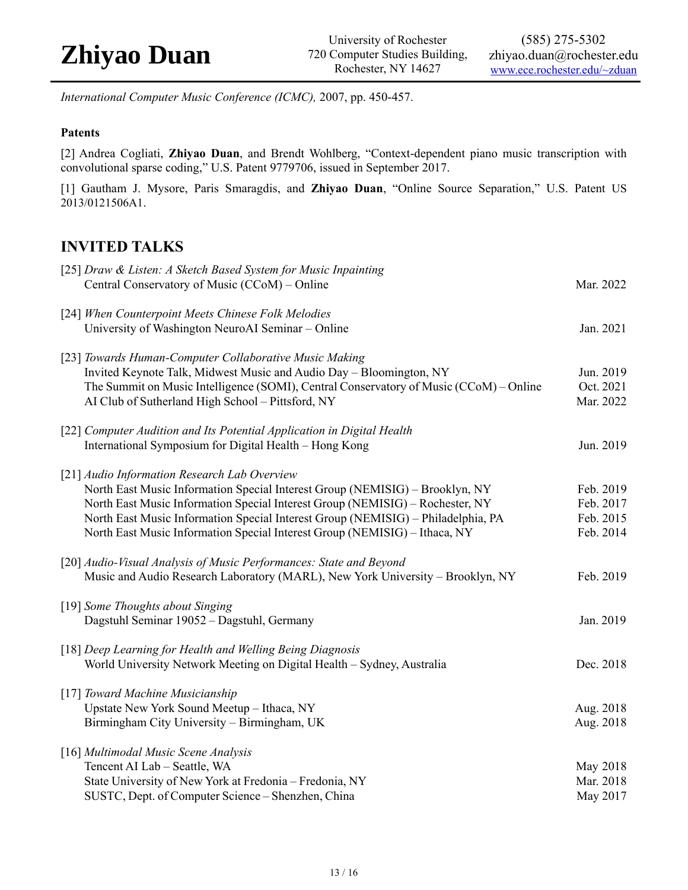*International Computer Music Conference (ICMC),* 2007, pp. 450-457.

### **Patents**

[2] Andrea Cogliati, **Zhiyao Duan**, and Brendt Wohlberg, "Context-dependent piano music transcription with convolutional sparse coding," U.S. Patent 9779706, issued in September 2017.

[1] Gautham J. Mysore, Paris Smaragdis, and **Zhiyao Duan**, "Online Source Separation," U.S. Patent US 2013/0121506A1.

### **INVITED TALKS**

| [25] Draw & Listen: A Sketch Based System for Music Inpainting<br>Central Conservatory of Music (CCoM) - Online                                                                                                                                                                                                                                                                 | Mar. 2022                                        |
|---------------------------------------------------------------------------------------------------------------------------------------------------------------------------------------------------------------------------------------------------------------------------------------------------------------------------------------------------------------------------------|--------------------------------------------------|
| [24] When Counterpoint Meets Chinese Folk Melodies<br>University of Washington NeuroAI Seminar - Online                                                                                                                                                                                                                                                                         | Jan. 2021                                        |
| [23] Towards Human-Computer Collaborative Music Making<br>Invited Keynote Talk, Midwest Music and Audio Day - Bloomington, NY<br>The Summit on Music Intelligence (SOMI), Central Conservatory of Music (CCoM) – Online<br>AI Club of Sutherland High School - Pittsford, NY                                                                                                    | Jun. 2019<br>Oct. 2021<br>Mar. 2022              |
| [22] Computer Audition and Its Potential Application in Digital Health<br>International Symposium for Digital Health - Hong Kong                                                                                                                                                                                                                                                | Jun. 2019                                        |
| [21] Audio Information Research Lab Overview<br>North East Music Information Special Interest Group (NEMISIG) - Brooklyn, NY<br>North East Music Information Special Interest Group (NEMISIG) - Rochester, NY<br>North East Music Information Special Interest Group (NEMISIG) - Philadelphia, PA<br>North East Music Information Special Interest Group (NEMISIG) - Ithaca, NY | Feb. 2019<br>Feb. 2017<br>Feb. 2015<br>Feb. 2014 |
| [20] Audio-Visual Analysis of Music Performances: State and Beyond<br>Music and Audio Research Laboratory (MARL), New York University - Brooklyn, NY                                                                                                                                                                                                                            | Feb. 2019                                        |
| [19] Some Thoughts about Singing<br>Dagstuhl Seminar 19052 - Dagstuhl, Germany                                                                                                                                                                                                                                                                                                  | Jan. 2019                                        |
| [18] Deep Learning for Health and Welling Being Diagnosis<br>World University Network Meeting on Digital Health - Sydney, Australia                                                                                                                                                                                                                                             | Dec. 2018                                        |
| [17] Toward Machine Musicianship<br>Upstate New York Sound Meetup - Ithaca, NY<br>Birmingham City University - Birmingham, UK                                                                                                                                                                                                                                                   | Aug. 2018<br>Aug. 2018                           |
| [16] Multimodal Music Scene Analysis<br>Tencent AI Lab - Seattle, WA<br>State University of New York at Fredonia - Fredonia, NY<br>SUSTC, Dept. of Computer Science - Shenzhen, China                                                                                                                                                                                           | May 2018<br>Mar. 2018<br>May 2017                |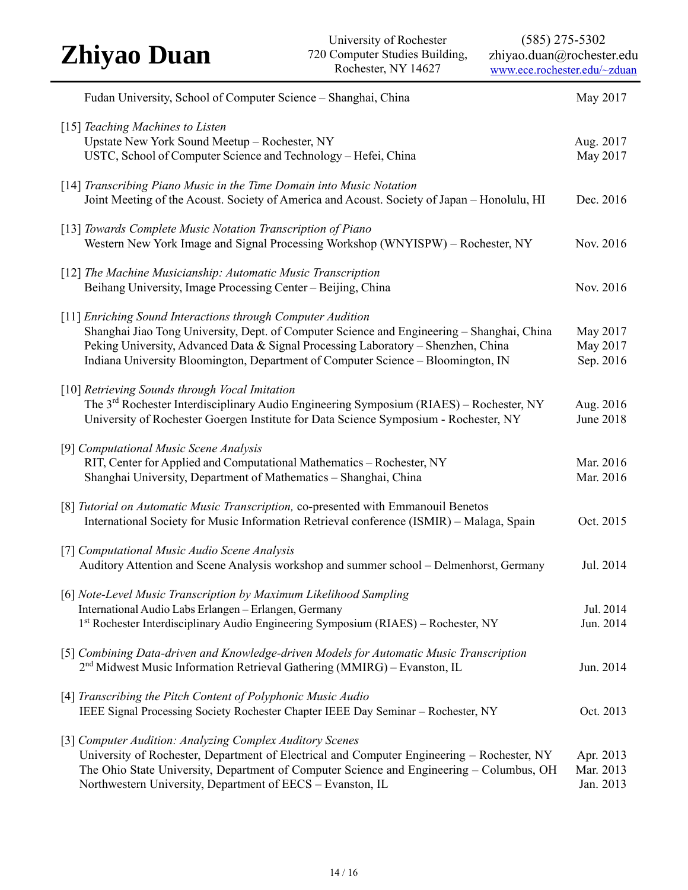| <b>Zhiyao Duan</b>                                                                                                                                                                                                                                                                                                                 | University of Rochester<br>720 Computer Studies Building,<br>Rochester, NY 14627 | $(585)$ 275-5302<br>zhiyao.duan@rochester.edu<br>www.ece.rochester.edu/~zduan |
|------------------------------------------------------------------------------------------------------------------------------------------------------------------------------------------------------------------------------------------------------------------------------------------------------------------------------------|----------------------------------------------------------------------------------|-------------------------------------------------------------------------------|
| Fudan University, School of Computer Science - Shanghai, China                                                                                                                                                                                                                                                                     |                                                                                  | May 2017                                                                      |
| [15] Teaching Machines to Listen<br>Upstate New York Sound Meetup - Rochester, NY<br>USTC, School of Computer Science and Technology - Hefei, China                                                                                                                                                                                |                                                                                  | Aug. 2017<br>May 2017                                                         |
| [14] Transcribing Piano Music in the Time Domain into Music Notation<br>Joint Meeting of the Acoust. Society of America and Acoust. Society of Japan - Honolulu, HI                                                                                                                                                                |                                                                                  | Dec. 2016                                                                     |
| [13] Towards Complete Music Notation Transcription of Piano<br>Western New York Image and Signal Processing Workshop (WNYISPW) – Rochester, NY                                                                                                                                                                                     |                                                                                  | Nov. 2016                                                                     |
| [12] The Machine Musicianship: Automatic Music Transcription<br>Beihang University, Image Processing Center - Beijing, China                                                                                                                                                                                                       |                                                                                  | Nov. 2016                                                                     |
| [11] Enriching Sound Interactions through Computer Audition<br>Shanghai Jiao Tong University, Dept. of Computer Science and Engineering - Shanghai, China<br>Peking University, Advanced Data & Signal Processing Laboratory - Shenzhen, China<br>Indiana University Bloomington, Department of Computer Science - Bloomington, IN |                                                                                  | May 2017<br>May 2017<br>Sep. 2016                                             |
| [10] Retrieving Sounds through Vocal Imitation<br>The 3 <sup>rd</sup> Rochester Interdisciplinary Audio Engineering Symposium (RIAES) - Rochester, NY<br>University of Rochester Goergen Institute for Data Science Symposium - Rochester, NY                                                                                      |                                                                                  | Aug. 2016<br>June 2018                                                        |
| [9] Computational Music Scene Analysis<br>RIT, Center for Applied and Computational Mathematics - Rochester, NY<br>Shanghai University, Department of Mathematics - Shanghai, China                                                                                                                                                |                                                                                  | Mar. 2016<br>Mar. 2016                                                        |
| [8] Tutorial on Automatic Music Transcription, co-presented with Emmanouil Benetos<br>International Society for Music Information Retrieval conference (ISMIR) – Malaga, Spain                                                                                                                                                     |                                                                                  | Oct. 2015                                                                     |
| [7] Computational Music Audio Scene Analysis<br>Auditory Attention and Scene Analysis workshop and summer school – Delmenhorst, Germany                                                                                                                                                                                            |                                                                                  | Jul. 2014                                                                     |
| [6] Note-Level Music Transcription by Maximum Likelihood Sampling<br>International Audio Labs Erlangen - Erlangen, Germany<br>1st Rochester Interdisciplinary Audio Engineering Symposium (RIAES) – Rochester, NY                                                                                                                  |                                                                                  | Jul. 2014<br>Jun. 2014                                                        |
| [5] Combining Data-driven and Knowledge-driven Models for Automatic Music Transcription<br>$2nd$ Midwest Music Information Retrieval Gathering (MMIRG) – Evanston, IL                                                                                                                                                              |                                                                                  | Jun. 2014                                                                     |
| [4] Transcribing the Pitch Content of Polyphonic Music Audio<br>IEEE Signal Processing Society Rochester Chapter IEEE Day Seminar - Rochester, NY                                                                                                                                                                                  |                                                                                  | Oct. 2013                                                                     |
| [3] Computer Audition: Analyzing Complex Auditory Scenes<br>University of Rochester, Department of Electrical and Computer Engineering Rochester NV                                                                                                                                                                                |                                                                                  | $\Lambda$ pr $2012$                                                           |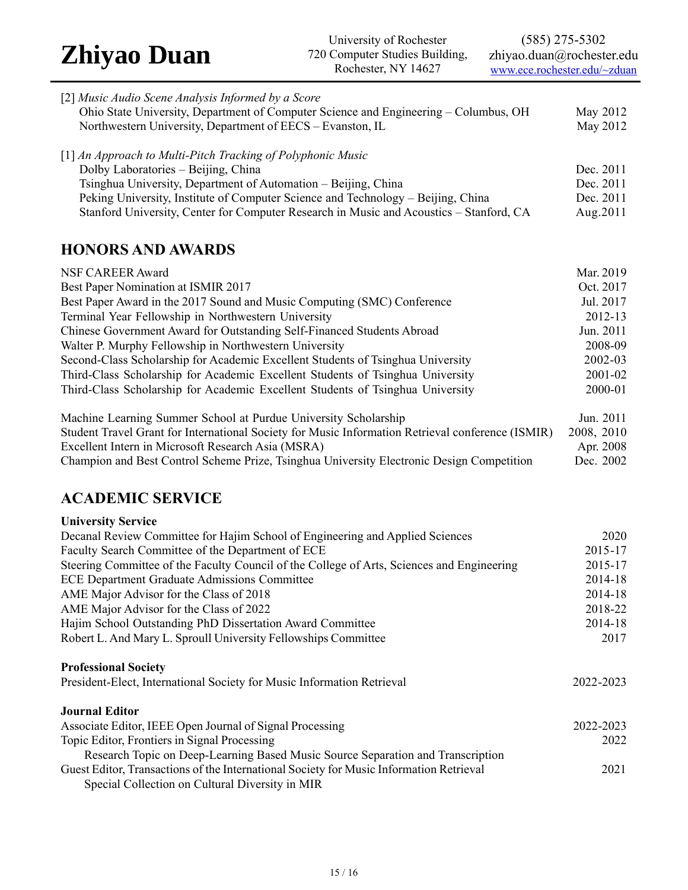(585) 275-5302 zhiyao.duan@rochester.edu [www.ece.rochester.edu/~zduan](http://www.ece.rochester.edu/~zduan)

| [2] Music Audio Scene Analysis Informed by a Score                                      |           |
|-----------------------------------------------------------------------------------------|-----------|
| Ohio State University, Department of Computer Science and Engineering – Columbus, OH    | May 2012  |
| Northwestern University, Department of EECS – Evanston, IL                              | May 2012  |
| $[1]$ An Approach to Multi-Pitch Tracking of Polyphonic Music                           |           |
| Dolby Laboratories - Beijing, China                                                     | Dec. 2011 |
| Tsinghua University, Department of Automation – Beijing, China                          | Dec. 2011 |
| Peking University, Institute of Computer Science and Technology - Beijing, China        | Dec. 2011 |
| Stanford University, Center for Computer Research in Music and Acoustics - Stanford, CA | Aug.2011  |
|                                                                                         |           |
|                                                                                         |           |

## **HONORS AND AWARDS**

| NSF CAREER Award                                                                | Mar. 2019 |
|---------------------------------------------------------------------------------|-----------|
| Best Paper Nomination at ISMIR 2017                                             | Oct. 2017 |
| Best Paper Award in the 2017 Sound and Music Computing (SMC) Conference         | Jul. 2017 |
| Terminal Year Fellowship in Northwestern University                             | 2012-13   |
| <b>Chinese Government Award for Outstanding Self-Financed Students Abroad</b>   | Jun. 2011 |
| Walter P. Murphy Fellowship in Northwestern University                          | 2008-09   |
| Second-Class Scholarship for Academic Excellent Students of Tsinghua University | 2002-03   |
| Third-Class Scholarship for Academic Excellent Students of Tsinghua University  | 2001-02   |
| Third-Class Scholarship for Academic Excellent Students of Tsinghua University  | 2000-01   |
| Machine Learning Summer School at Purdue University Scholarship                 | Jun. 2011 |

| Machine Learning Summer School at Purdue University Scholarship                                   | Jun. 2011  |
|---------------------------------------------------------------------------------------------------|------------|
| Student Travel Grant for International Society for Music Information Retrieval conference (ISMIR) | 2008, 2010 |
| Excellent Intern in Microsoft Research Asia (MSRA)                                                | Apr. 2008  |
| Champion and Best Control Scheme Prize, Tsinghua University Electronic Design Competition         | Dec. 2002  |
|                                                                                                   |            |

## **ACADEMIC SERVICE**

| <b>University Service</b>                                                                  |           |
|--------------------------------------------------------------------------------------------|-----------|
| Decanal Review Committee for Hajim School of Engineering and Applied Sciences              | 2020      |
| Faculty Search Committee of the Department of ECE                                          | 2015-17   |
| Steering Committee of the Faculty Council of the College of Arts, Sciences and Engineering | 2015-17   |
| ECE Department Graduate Admissions Committee                                               | 2014-18   |
| AME Major Advisor for the Class of 2018                                                    | 2014-18   |
| AME Major Advisor for the Class of 2022                                                    | 2018-22   |
| Hajim School Outstanding PhD Dissertation Award Committee                                  | 2014-18   |
| Robert L. And Mary L. Sproull University Fellowships Committee                             | 2017      |
| <b>Professional Society</b>                                                                |           |
| President-Elect, International Society for Music Information Retrieval                     | 2022-2023 |
| <b>Journal Editor</b>                                                                      |           |
| Associate Editor, IEEE Open Journal of Signal Processing                                   | 2022-2023 |
| Topic Editor, Frontiers in Signal Processing                                               | 2022      |
| Research Topic on Deep-Learning Based Music Source Separation and Transcription            |           |
| Guest Editor, Transactions of the International Society for Music Information Retrieval    | 2021      |
| Special Collection on Cultural Diversity in MIR                                            |           |